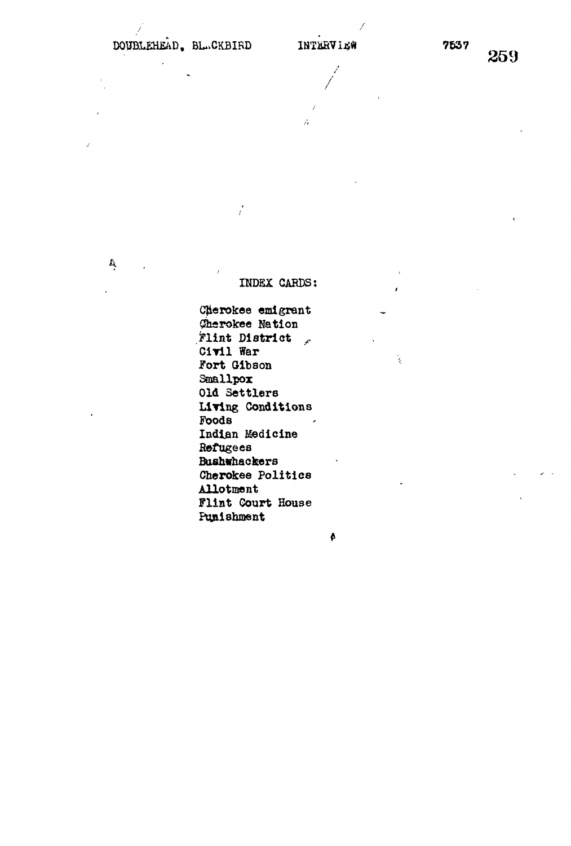**A.**

,  $\prime$  ,  $\prime$  ,  $\prime$  ,  $\prime$  ,  $\prime$  ,  $\prime$  ,  $\prime$  ,  $\prime$  ,  $\prime$  ,  $\prime$  ,  $\prime$  ,  $\prime$  ,  $\prime$  ,  $\prime$  ,  $\prime$  ,  $\prime$  ,  $\prime$  ,  $\prime$  ,  $\prime$  ,  $\prime$  ,  $\prime$  ,  $\prime$  ,  $\prime$  ,  $\prime$  ,  $\prime$  ,  $\prime$  ,  $\prime$  ,  $\prime$  ,  $\prime$  ,  $\prime$  ,  $\prime$  ,  $\$ 

 $\mathcal{L}$ 

ź,

## INDEX CARDS:

Cherokee emigrant *Qhsvokee* Nation  $r$ lint District  $r$ Civil War Fort Gibson<br>Smallpox **Old Settlers Living Conditions Foods Indian Medicine Refugees Bushwhackers Cherokee Politics Allotment Flint Court House** Ptgiishment

 $\pmb{\delta}$ 

i,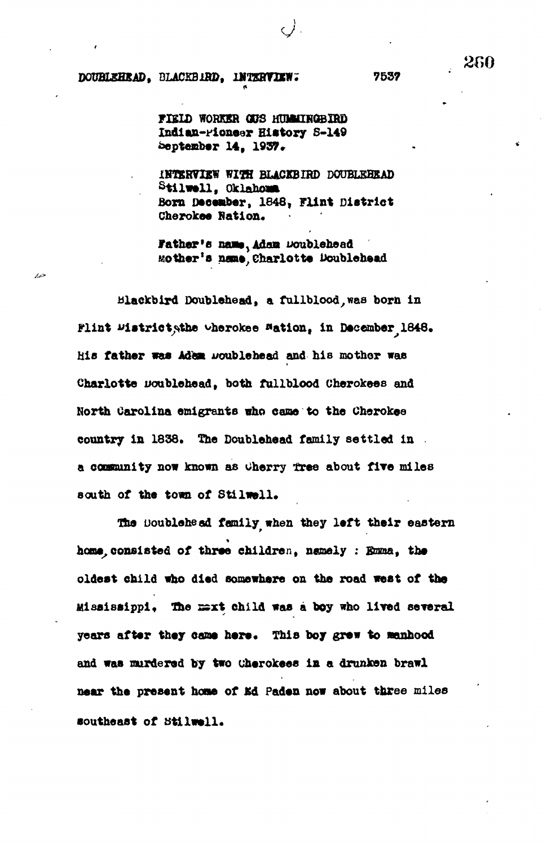## **DOUBLEHEAD, BLACKBIRD, INTERVIEW; 7537**

فتعار

**FIELD WORKER CDS HUMOKQBIRD Indlan-Fionear History S-149 September 14 , 1937\***

**INTERVIEW WITH BLACKBIRD DOUBLEHEAD Stilw»U , Oklahoma** Born December, 1848, Flint District **Cherokee Ration.**

Father's name, Adam Doublehead **Mother's name, Charlotte Doublehead**

**blackbird Doublehead, a fullblood**, was born in **Flint Wistrict, the cherokee Mation, in December 1848.** His father was Adem woublehead and his mother was **Charlotte uoublehead, both fullblood Cherokees and North Carolina emigrants who came to the Cherokee country in 1838. The Doublehead family settled in a coonunity now known as oherry tre e about fir e mile s south of the town of Stilwell .**

The Boublehead family when they left their eastern home, consisted of three children, namely : Emma, the **oldest child who died somewhere on the road west of the** *Mississippi*, The mext child was a boy who lived several **years after they came here.** This boy grew to manhood **and was murdered by two cherokees** *in.* **a drunken brawl** near the present home of Ed Paden now about three miles **southeast of tstilwell.**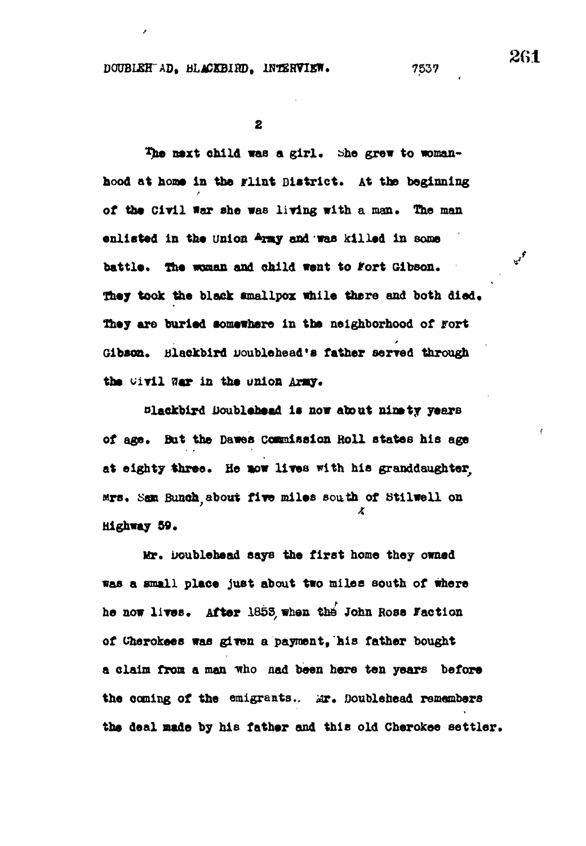**DOUBLEH AD, BLACKBIMD, INTERVIEW.** 7537

 $\overline{\mathbf{2}}$ 

The next child was a girl. She grew to womanhood at home in the Flint Bistrict. At the beginning of the Civil War she was living with a man. The man onlisted in the union Army and was killed in some **enlisted in the union <sup>A</sup> m y and was killed in some** They took the black smallpox while there and both died. They are buried somewhere in the neighborhood of **Fort They are buried somewhere in the neighborhood of fort** ۷ the *Givil* War in the union Army.

**the original of the universe of the universe of the universe of the universe of the universe of the universe of the universe of the universe of the universe of the universe of the universe of the universe of the universe** of age. But the Dawes Commission Roll states his age at eighty three. He now lives with his granddaughter. **ars.** Sam Bunch about five miles south of Stilwell on **Mighway 59.** 

Mr. Doublehead says the first home they owned **Was a small place just about two miles south of where** he now lives. After 1853 when the John Rose Faction of Cherokees was given a payment. his father bought a claim from a man who had been here ten years before the coming of the emigrants. Mr. Doublehead remembers the deal made by his father and this old Cherokee settler.

**261**

 $v^f$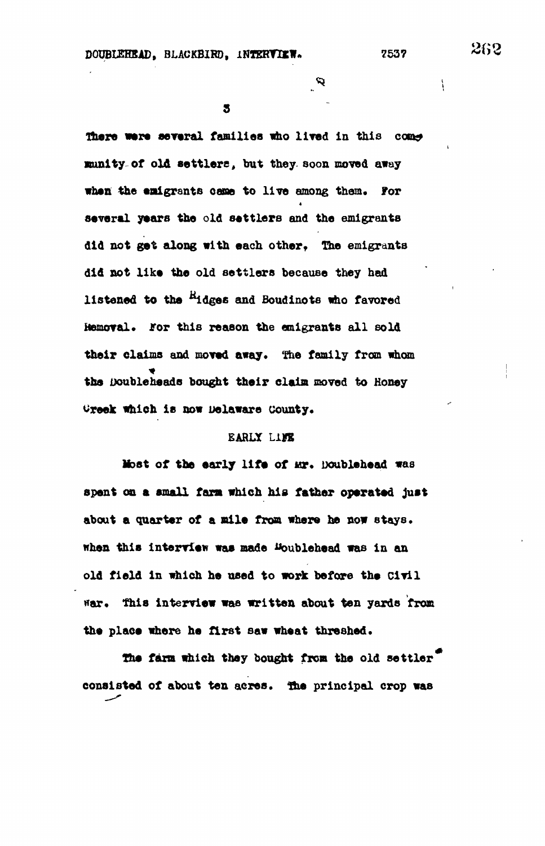$\boldsymbol{\varphi}$  .

5

**fliere were several families who lived in this •unity of old settlers, but they soon moved away** when the emigrants came to live among them. For , **several years the old settlers and the emigrants did not get along with each other• The emigrants** did not like the old settlers because they had **did not like the old settlers because they had** listened to the <sup>R</sup>idges and Boudinots who favored **listened to the \*\*ldges and Boudinote who favored Hemoval. for this reason the emigrants all sold their claims and moved away\* The family from whom the Doubleheade bought their claim moved to Honey** Greek which is now Delaware County.

# **EARLY Lin**

**Creek which is now Delaware county\***

**Most of the early life of Mr. Doublehead was** spent on a small farm which his father operated just **about a quarter of a mile from where he now stays, when this interview was made Uoublehead was in an old field in which he used to work before the Civil nar. this interview was written about ten yards from** the place where he first saw wheat threshed.

**The farm which they bought from the old settler consisted of about ten acres, the principal crop was**

 $\mathfrak{f}$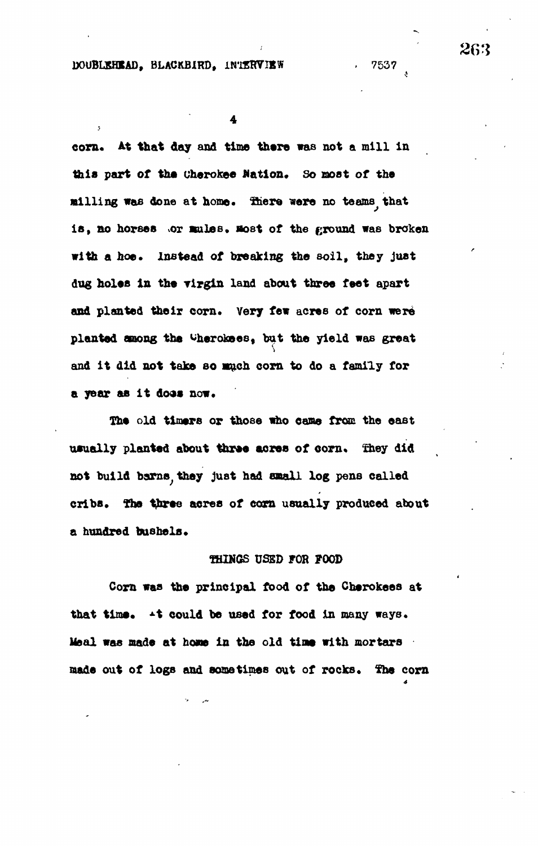## **DOUBLEHEAD, BLACKBIRD, INTERVIEW . 7537**

**corn. M that day and time there was not a mill in this part of the Cherokee Nation. So most of the milling was done at home, SSiere were no teams that** is, no horses or mules. Host of the ground was broken **with a hoe. Instead of breaking the soil , they just** dug holes in the virgin land about three feet apart and planted their corn. Very few acres of corn were **planted among the ^herokees, but the yield was great and i t did not take so such corn to do a family for a year as i t doos now.**

**The old timers or those who came from the east** usually planted about three acres of corn. They did **not build barns^they just had email log pens called cribs. The three acres of corn usually produced about a hundred bushels.**

## **THINGS USED FOR FOOD**

**Corn was the principal food of the Cherokeea at** that time.  $\rightarrow$  t could be used for food in many ways. **lfeal was made at hone in the old tine with mortars made out of logs and sometimes out of rocks. ¥he corn**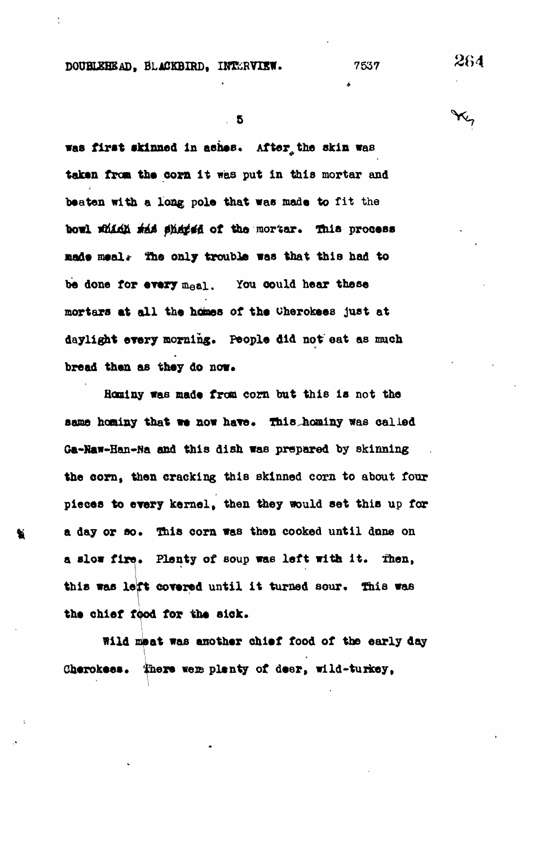**DOUHLEHEAD, BLACKBIRD, INTERVIEW.** 7537 264

**was first skinned In ashes. After, the skin was** taken from the corn it was put in this mortar and 4 **beaten with a long pole that was made to fit the bowl JGUI & UA flu&\*& of too mortar, thia process made meal\*- the only trouble was that this had to be done for every meal. You could hear these mortars at all the hones of the Oherokees just at daylight every morning. People did not eat as much** bread then as they do now.

**Hominy was made from corn but this is not the** same hominy that we now have. This hominy was called **Ga-Kaw-Han-Na and this dish was prepared by skinning the corn, then cracking this skinned corn to about four pieces to every kernel, then they would set this up for a day or so. This corn was then cooked until done on a slow fire. Plenty of soup wae left with it. Then, this was left covered until it turned sour. This was the chief food for the slek.**

**Wild meat was another chief food of the early day** i **Gherokees. ihere weae plenty of deer, wild-turkey,**

 $X_7$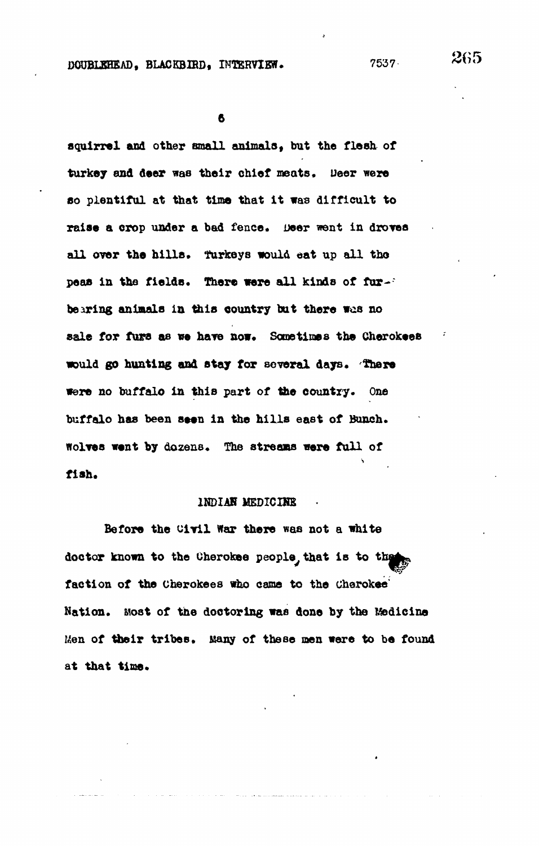6

**squirrel and other small animals, but the flesh of turkey and deer was their chief meats. Deer were so plentiful at that time that it was difficult to** raise a crop under a bad fence. Deer went in droves **all over the hills, turkeys would eat up all tho** peas in the fields. There were all kinds of fur-' **bearing animals in this country but there was no sale for fura as we have now. Some times the Cherokees would go hunting and stay for several days. There** were no buffalo in this part of the country. One buffalo has been seen in the hills east of Bunch. **Wolves went by dozens. The streams were full of** s fish.

## INDIAN MEDICINE

Before the Civil War there was not a white doctor known to the Cherokee people, that is to the faction of the Cherokees who came to the Cherokee' **Nation\* Host of the doctoring was done by the Medicine Men of their tribes\* Many of these men were to be found** at that time.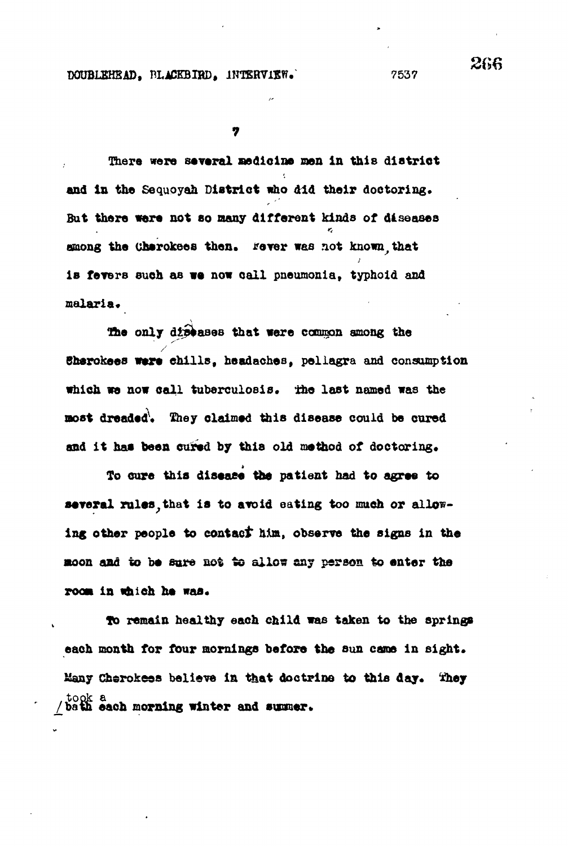7

There were several medicine men in this district and in the Sequoyah District who did their doctoring. **But there were not BO many different kinds of diseases among the Chsrokees then, tfever was not known,that** is fevers such as we now call pneumonia, typhoid and **malaria.**

The only diseases that were common among the **Bherokees were chills, headaches, pellagra and consumption** which we now call tuberculosis. The last named was the **moot dreaded\ They claimed this disease could be cured** and it has been cured by this old method of doctoring.

To cure this disease the patient had to agree to several rules, that is to avoid eating too much or allow**ing other people to contact him, observe the signs in the moon and to be sure not to allow any person to enter the room in which he was.**

**9o remain healthy each child was taken to the springs** each month for four mornings before the sun came in sight. Many Cherokees believe in that doctrine to this day. They took a **bath each morning winter and summer.**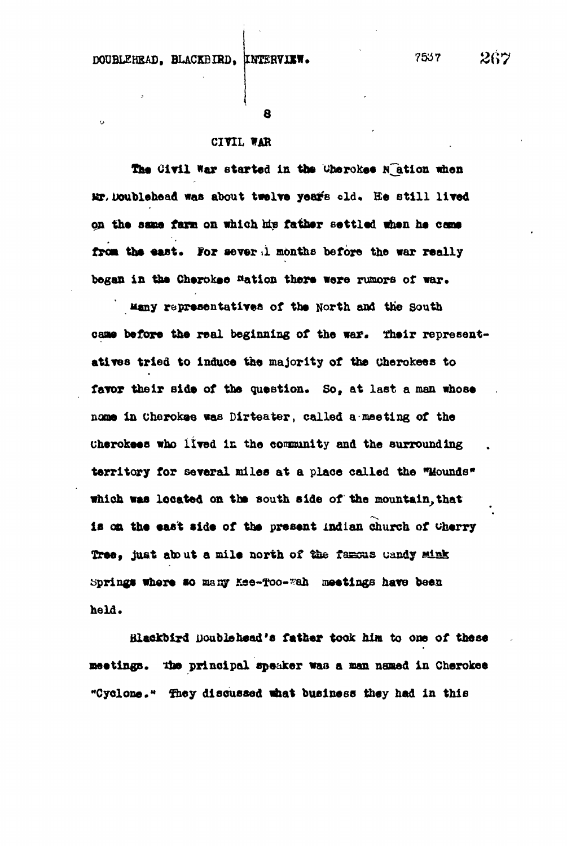$\alpha$ 

**8**

## **CIYIL WAB**

The Civil War started in the Cherokee **N**ation when Mr. Doublehead was about twelve years old. He still lived on the same farm on which his father settled when he came from the east. For sever i months before the war really began in the Cherokee <sup>n</sup>ation there were rumors of war.

**uany representatives of the North and the south** came before the real beginning of the war. Their represent**atives tried to induce the majority of the oherokees to** favor their side of the question. So, at last a man whose **name in Cherokee was Dirteater, called a meeting of the uherokeea who lived in the comnunity and the surrounding territory for several miles at a place called the "Mounds\* which waa located on the south aide of the mountain.that ia oa the east eide of the present Indian church of cherry Tree, just about a mile north of \$&e fasssas uandy Misk bprings where so many Kse-foo-\*ah meetings have been held.**

**Blackbird Double head'a father took him to one of these meetings. ?im principal speaker van a man named in Cherokee "Cyclone.<sup>M</sup> They discussed what business they had in this**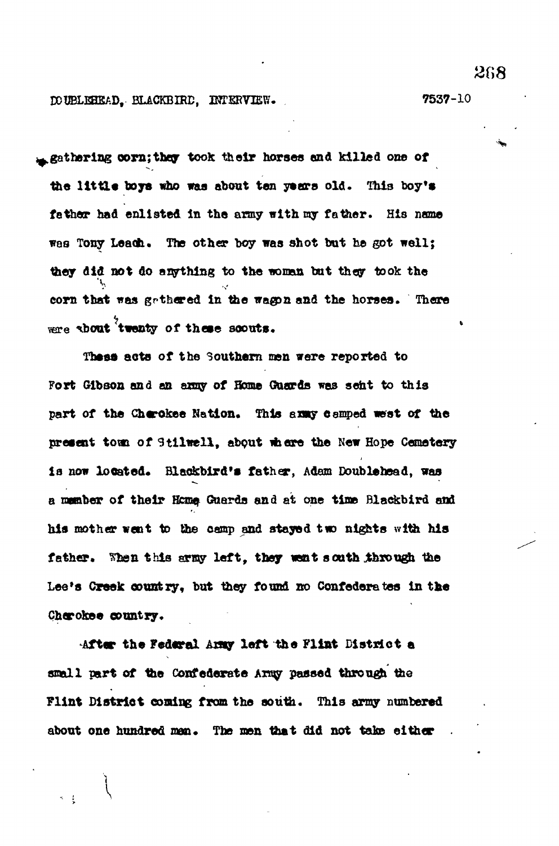**DOUBLEHEAD, BLACKBIRD, INTERVIEW. 7537-10**

**<u>Asthering corn; they took their horses and killed one of</u>** the little boys who was about ten years old. This boy's **father had enlisted In the army with ray father . His name** was Tony Leach. The other boy was shot but he got well; **they did not do anything to the woman but they took the** corn that was gathered in the wagon and the horses. There **were shout twenty of these scouts.** 

These acts of the Southern men were reported to Fort Gibson and an anny of Home Guards was sent to this part of the Cherokee Nation. This axxy camped west of the present town of Stilwell, about where the New Hope Cemetery **l a now located. Blackbird's father , Adam Double head, was a member of thei r Hcme, Guards and at one tine Blackbird and h is mother went to the camp and stayed two nights with his father . Wb-n this srisy left , they want south through the** Lee's Creek country, but they found no Confederates in the **Cherokee country.**

**After the Federal Amy left the Flint District a** small part of the Confederate Army passed through the **Flint District coming from the south. This army numbered about one hundred nan. The men that did not take either .**

2G8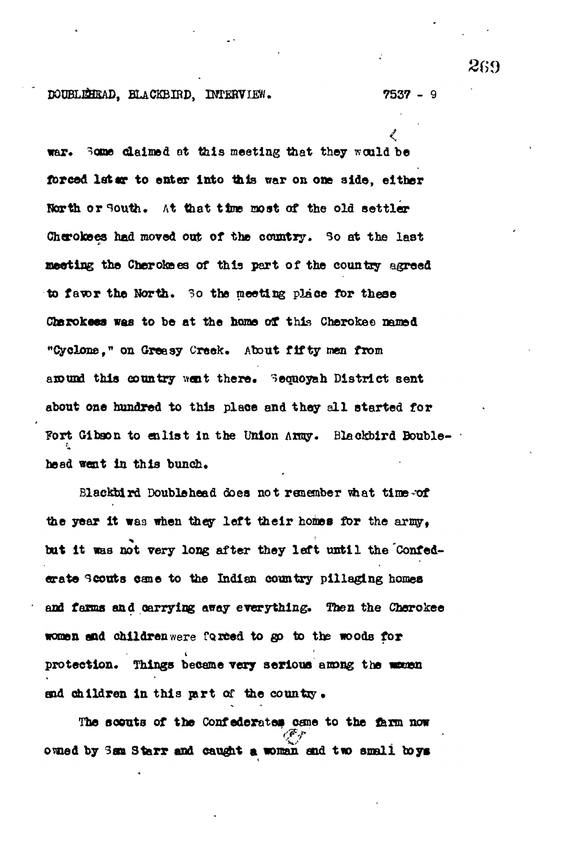#### **, BLACKBIRD, INTERVIEW• 7537 - 9**

war. Some claimed at this meeting that they would be forced later to enter into this war on one side, either North or South. At that time most of the old settler Cherokees had moved out of the country. So at the last **Besting the Cherotoes of this part of the country agreed to faror the North. 3o the meeting place for these** Cherokees was to be at the home of this Cherokee named **"Cyclone<sup>f</sup> n on Greasy Creek. About fift y men from** around this country went there. Sequoyah District sent about one hundred to this place and they all started for **?ort Gibson to enlist in the Union Anay. Blackbird Bouble head treat in this bunch.**

**Blackbird Doublehead does not remember what time-of** the year it was when they left their homes for the army. **but it was not very long after they left until the Confederate scouts cane to the Indian country pillaging homes and farms and carrying away everything. Then the Cherokee women and children were farced to go to the woods for** protection. Things became very serious among the wauen **and children in this part of the country.**

**The scouts of the Confederates cane to the farm now by 3aa Starr and caught a woman and t w small boys**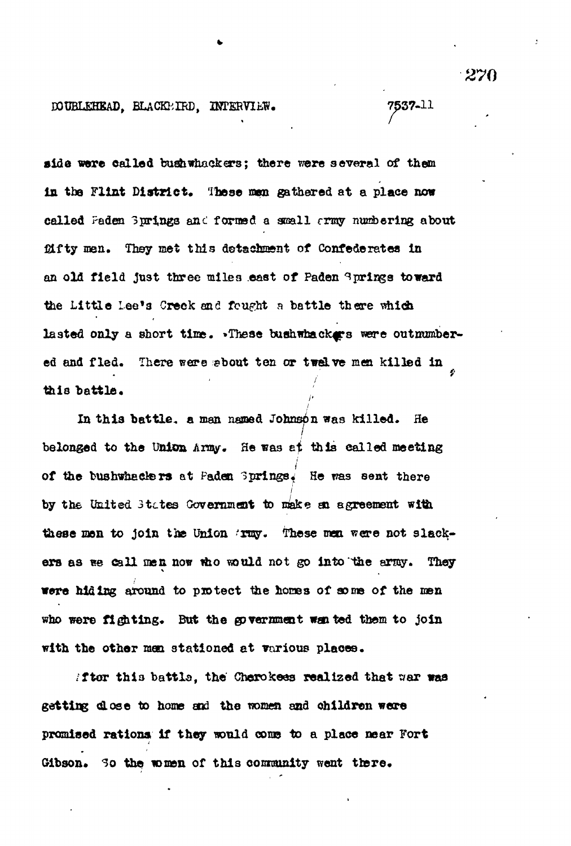DOUBLEHEAD, BLACKBIRD, INTERVIEW. 7537-11

side were called bushwhackers; there were several of them in the Flint District. These men gathered at a place now called Faden 3prings and formed a small  $\epsilon$ rmy numbering about fifty men. They met this detachment of Confederates in an old field just three miles east of Paden & prings toward the Little Lee's Greek and fought a battle there which lasted only a short time. . These bushwhackers were outnumbered and fled. There were sbout ten or twelve men killed in this battle.

« /

In this battle, a man named Johnson was killed. He belonged to the Union Aray. He was et this called meeting of the bushwhackers at Paden 3prings. He was sent there by the United 3tctes Governmesit to make aa agreement with these men to join the Union 'rmy. These men were not slackers as we call men now who would not go into the army. They were hiding around to protect the homes of some of the men who were fighting. But the government wanted them to join with the other men stationed et various places.

*ifter this battle, the Cherokees realized that war was* getting dose to home and the women and children were promised rations if they would come to a place near Fort Gibson. So the women of this community went there.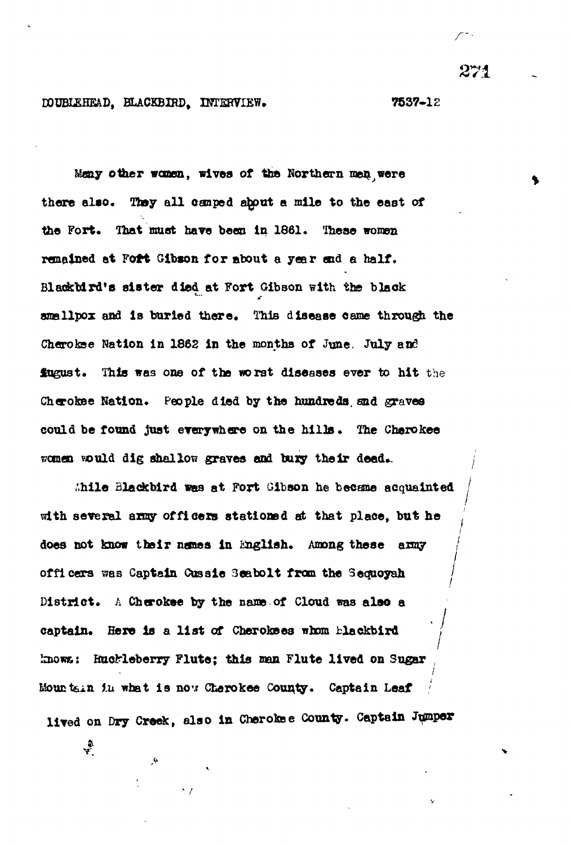## **DOUBI£BEAD, BLACKBIRD, INTERVIEW. 7537~12**

**Many other women, wives of the Northern men,were there also . They al l canped ahput a mile to the east of the Fort. That must have been In 1861. These women** remained at Fort Gibson for about a year end a half. Blackbird's sister died at Fort Gibson with the black **smallpox and is buried there. This disease came through the Cherokee Nation in 1862 in the months of June. July and fogust. This was one of the worst diseases ever to hit the Cherokee Nation. People died by the hundreds, and graves could be found just everywhere on the hills. The Cherokee women vould dig shallow graves and bury their dead..**

**i'.hile Blackbird was at Fort Gibson he became acquainted with several army officer s stationed at that place, but he ' / does not know their names in English. Among these army / /** officers was Captain Cussie 3eabolt from the Sequoyah **District. A Cherokee by the name of Cloud was also a captain. Here is a list of Cherokees whom blackbird ;** lnows: Huckleberry Flute; this man Flute lived on Sugar **/** Mountain in what is now Cherokee County. Captain Leaf lived on Dry Creek, also in Cherokee County. Captain Jumper

**lived on Dry Creek, also in Cherokee County. Captain Jumper**

**v /** 271

**/**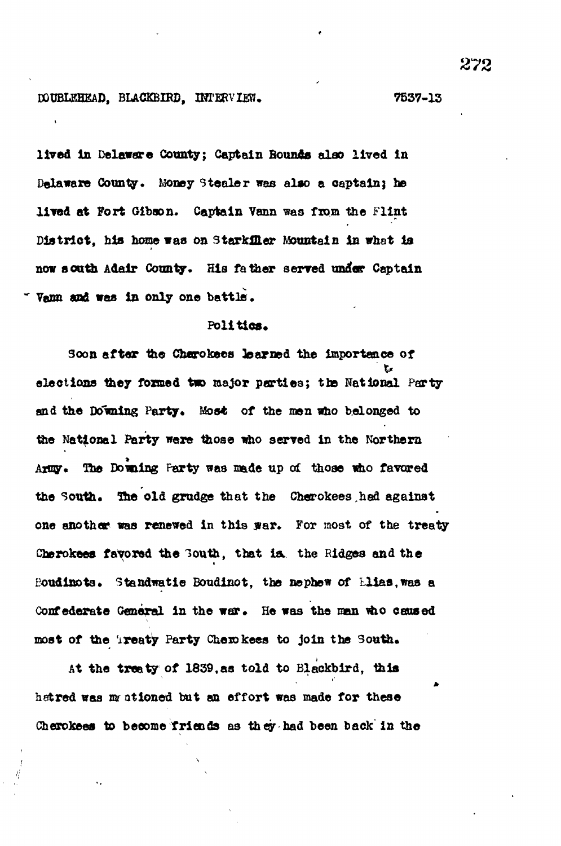## **DOUBLEHEAD, BLACKBIRD, IHTERVIEW. 7537-13**

lived in Delaware County; Captain Rounds also lived in **Delaware County. Money Steale r was alao a captainj be lived at Fort Gibson. Captain Vann was from the Flint District, his home waa on Starkf&er Mountain in what la** now south Adair County. His father served under Captain **~ Venn and was in only one battle .**

## Politics.

**Soon after the Chorokees learned the importance of elections they formed two major parties; the National Party** and the Downing Party. Most of the men who belonged to **the National Party were those who served in the Northern Army. The Doming Party was made up of those who favored** the South. The old grudge that the Cherokees,had against one another was renewed in this war. For most of the treaty Cherokees favored the **Bouth**, that is, the Ridges and the **eoudinots\* Standwatie Boudinot, the nephew of Lliaatwas a** Confederate General in the war. He was the man who caused most of the **ireaty Party Cherokees** to join the South.

**At the treaty of 1839,as told to Blackbird, this hatred was** *m* **ationed but an effort was made for these Cherokees to become friends as they had been back in the**

s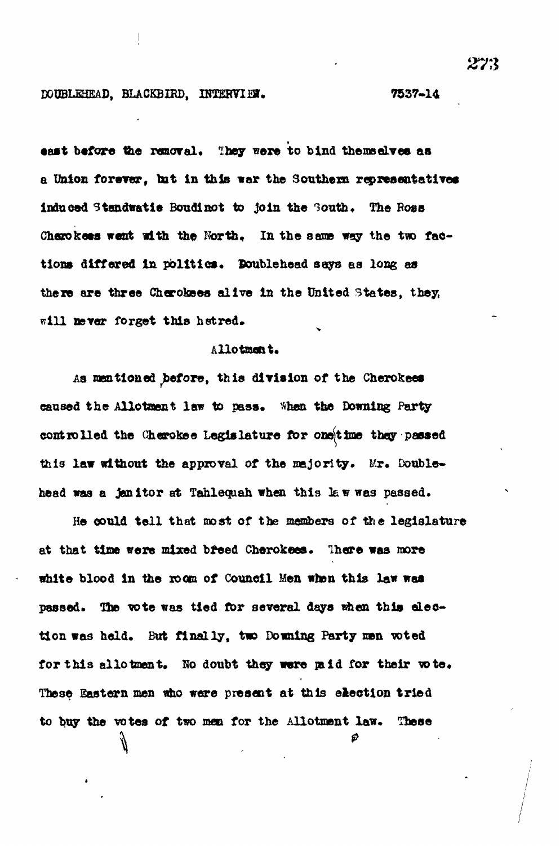#### **DCUBLEHEAD, BLACKBIRD, INTERVIER. 7537-14**

east before the removal. They were to bind themselves as a Union forever, but in this war the Southern representatives **induced Standwatle Boudlnot to Join the Touth, The Boss** Cherokees went with the North. In the same way the two factions differed in politics. Boublehead says as long as there are three Cherokees alive in the United States, they, **TTIII sever forget this hatred.**

## **Allotment.**

**As mentioned ^before, this division of the Cherokees** caused the Allotment law to pass. Shen the Downing Party **controlled the Cherokee Legislature for oneittoe they passed** this law without the approval of the majority. Mr. Double**head was a Jan itor at Tahleqnah when this la w was passed.**

He could tell that most of the members of the legislature **at that time were mixed breed Cherokees. There was more white blood in the room of Council Men when this law was passed. The vote was tied for several days «hen this election was held. But finally, two Downing Party men voted** for this allotment. No doubt they were paid for their vote. **These Eastern men «ho were present at this election tried to buy the votes of two men for the Allotment law. These**മ